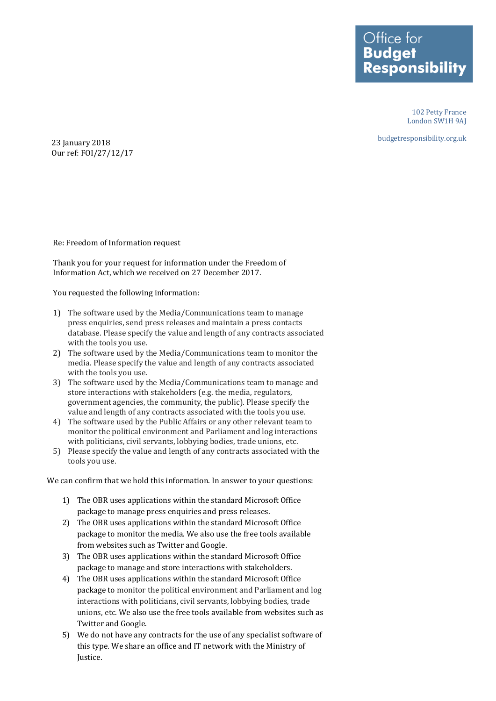Office for **Budget Responsibility** 

> 102 Petty France London SW1H 9AJ

budgetresponsibility.org.uk

23 January 2018 Our ref: FOI/27/12/17

Re: Freedom of Information request

Thank you for your request for information under the Freedom of Information Act, which we received on 27 December 2017.

You requested the following information:

- 1) The software used by the Media/Communications team to manage press enquiries, send press releases and maintain a press contacts database. Please specify the value and length of any contracts associated with the tools you use.
- 2) The software used by the Media/Communications team to monitor the media. Please specify the value and length of any contracts associated with the tools you use.
- 3) The software used by the Media/Communications team to manage and store interactions with stakeholders (e.g. the media, regulators, government agencies, the community, the public). Please specify the value and length of any contracts associated with the tools you use.
- 4) The software used by the Public Affairs or any other relevant team to monitor the political environment and Parliament and log interactions with politicians, civil servants, lobbying bodies, trade unions, etc.
- 5) Please specify the value and length of any contracts associated with the tools you use.

We can confirm that we hold this information. In answer to your questions:

- 1) The OBR uses applications within the standard Microsoft Office package to manage press enquiries and press releases.
- 2) The OBR uses applications within the standard Microsoft Office package to monitor the media. We also use the free tools available from websites such as Twitter and Google.
- 3) The OBR uses applications within the standard Microsoft Office package to manage and store interactions with stakeholders.
- 4) The OBR uses applications within the standard Microsoft Office package to monitor the political environment and Parliament and log interactions with politicians, civil servants, lobbying bodies, trade unions, etc. We also use the free tools available from websites such as Twitter and Google.
- 5) We do not have any contracts for the use of any specialist software of this type. We share an office and IT network with the Ministry of Justice.